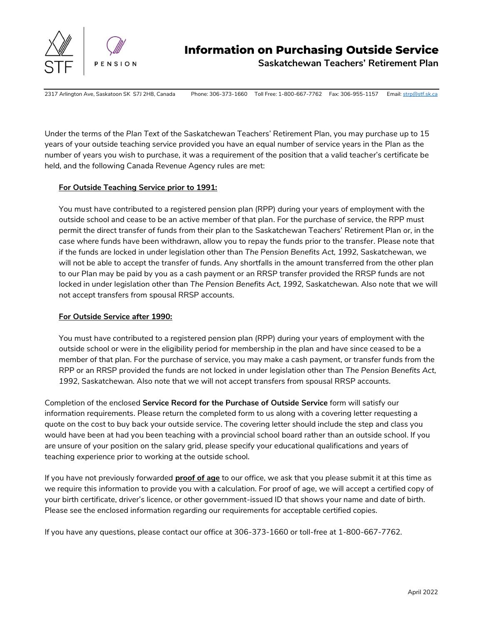

**Saskatchewan Teachers' Retirement Plan**

2317 Arlington Ave, Saskatoon SK S7J 2H8, Canada Phone: 306-373-1660 Toll Free: 1-800-667-7762 Fax: 306-955-1157 Email[: strp@stf.sk.ca](mailto:strp@stf.sk.ca)

Under the terms of the *Plan Text* of the Saskatchewan Teachers' Retirement Plan, you may purchase up to 15 years of your outside teaching service provided you have an equal number of service years in the Plan as the number of years you wish to purchase, it was a requirement of the position that a valid teacher's certificate be held, and the following Canada Revenue Agency rules are met:

## **For Outside Teaching Service prior to 1991:**

You must have contributed to a registered pension plan (RPP) during your years of employment with the outside school and cease to be an active member of that plan. For the purchase of service, the RPP must permit the direct transfer of funds from their plan to the Saskatchewan Teachers' Retirement Plan or, in the case where funds have been withdrawn, allow you to repay the funds prior to the transfer. Please note that if the funds are locked in under legislation other than *The Pension Benefits Act, 1992,* Saskatchewan, we will not be able to accept the transfer of funds. Any shortfalls in the amount transferred from the other plan to our Plan may be paid by you as a cash payment or an RRSP transfer provided the RRSP funds are not locked in under legislation other than *The Pension Benefits Act, 1992,* Saskatchewan*.* Also note that we will not accept transfers from spousal RRSP accounts.

# **For Outside Service after 1990:**

You must have contributed to a registered pension plan (RPP) during your years of employment with the outside school or were in the eligibility period for membership in the plan and have since ceased to be a member of that plan. For the purchase of service, you may make a cash payment, or transfer funds from the RPP or an RRSP provided the funds are not locked in under legislation other than *The Pension Benefits Act, 1992,* Saskatchewan*.* Also note that we will not accept transfers from spousal RRSP accounts.

Completion of the enclosed **Service Record for the Purchase of Outside Service** form will satisfy our information requirements. Please return the completed form to us along with a covering letter requesting a quote on the cost to buy back your outside service. The covering letter should include the step and class you would have been at had you been teaching with a provincial school board rather than an outside school. If you are unsure of your position on the salary grid, please specify your educational qualifications and years of teaching experience prior to working at the outside school.

If you have not previously forwarded **proof of age** to our office, we ask that you please submit it at this time as we require this information to provide you with a calculation. For proof of age, we will accept a certified copy of your birth certificate, driver's licence, or other government-issued ID that shows your name and date of birth. Please see the enclosed information regarding our requirements for acceptable certified copies.

If you have any questions, please contact our office at 306-373-1660 or toll-free at 1-800-667-7762.